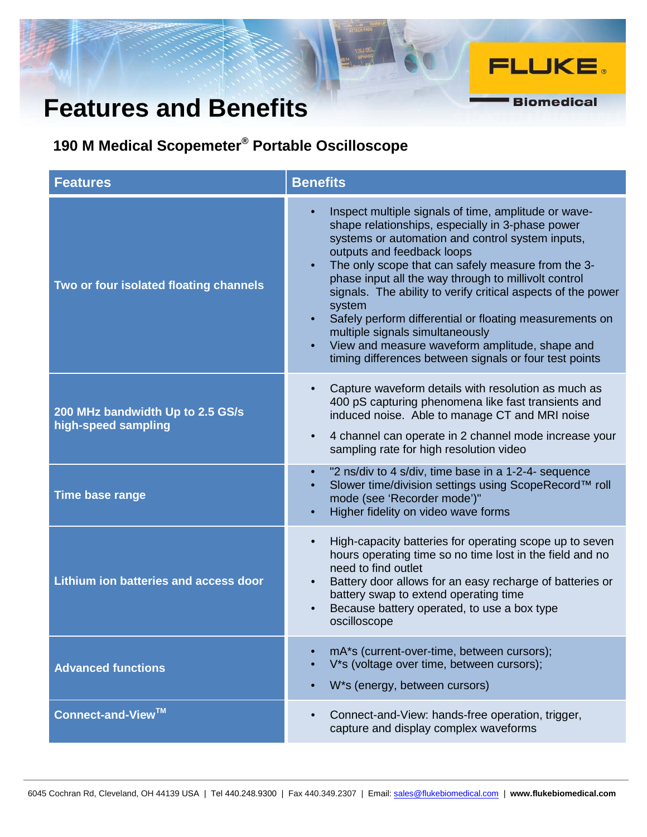## **Features and Benefits**

**190 M Medical Scopemeter® Portable Oscilloscope**

| <b>Features</b>                                         | <b>Benefits</b>                                                                                                                                                                                                                                                                                                                                                                                                                                                                                                                                                                                           |
|---------------------------------------------------------|-----------------------------------------------------------------------------------------------------------------------------------------------------------------------------------------------------------------------------------------------------------------------------------------------------------------------------------------------------------------------------------------------------------------------------------------------------------------------------------------------------------------------------------------------------------------------------------------------------------|
| Two or four isolated floating channels                  | Inspect multiple signals of time, amplitude or wave-<br>shape relationships, especially in 3-phase power<br>systems or automation and control system inputs,<br>outputs and feedback loops<br>The only scope that can safely measure from the 3-<br>phase input all the way through to millivolt control<br>signals. The ability to verify critical aspects of the power<br>system<br>Safely perform differential or floating measurements on<br>multiple signals simultaneously<br>View and measure waveform amplitude, shape and<br>$\bullet$<br>timing differences between signals or four test points |
| 200 MHz bandwidth Up to 2.5 GS/s<br>high-speed sampling | Capture waveform details with resolution as much as<br>$\bullet$<br>400 pS capturing phenomena like fast transients and<br>induced noise. Able to manage CT and MRI noise<br>4 channel can operate in 2 channel mode increase your<br>$\bullet$<br>sampling rate for high resolution video                                                                                                                                                                                                                                                                                                                |
| <b>Time base range</b>                                  | "2 ns/div to 4 s/div, time base in a 1-2-4- sequence<br>Slower time/division settings using ScopeRecord™ roll<br>mode (see 'Recorder mode')"<br>Higher fidelity on video wave forms                                                                                                                                                                                                                                                                                                                                                                                                                       |
| Lithium ion batteries and access door                   | High-capacity batteries for operating scope up to seven<br>$\bullet$<br>hours operating time so no time lost in the field and no<br>need to find outlet<br>Battery door allows for an easy recharge of batteries or<br>battery swap to extend operating time<br>Because battery operated, to use a box type<br>oscilloscope                                                                                                                                                                                                                                                                               |
| <b>Advanced functions</b>                               | mA*s (current-over-time, between cursors);<br>V*s (voltage over time, between cursors);<br>W*s (energy, between cursors)                                                                                                                                                                                                                                                                                                                                                                                                                                                                                  |
| Connect-and-View™                                       | Connect-and-View: hands-free operation, trigger,<br>$\bullet$<br>capture and display complex waveforms                                                                                                                                                                                                                                                                                                                                                                                                                                                                                                    |

**FLUKE.** 

**Biomedical**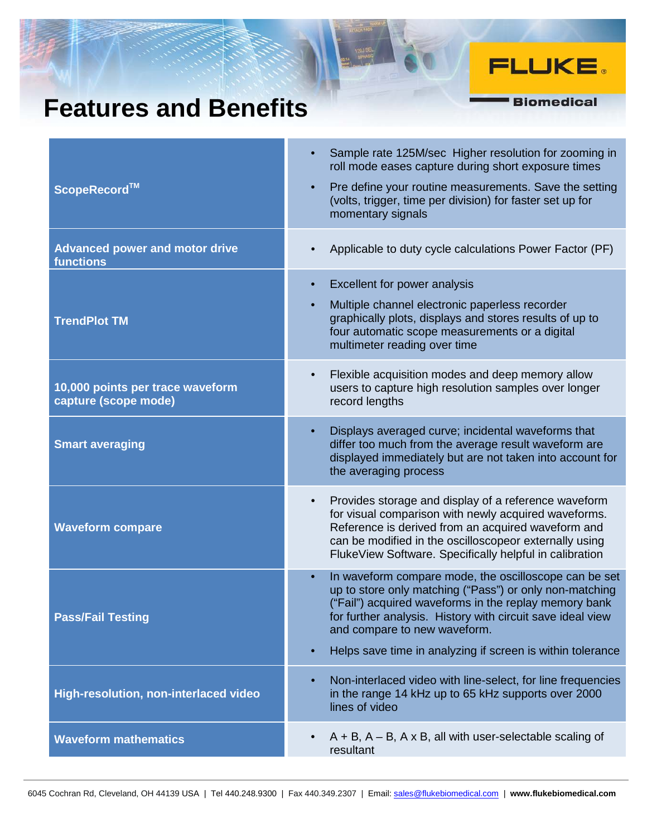## **Features and Benefits**

## **FLUKE**.

**Biomedical** 

| ScopeRecord™                                             | Sample rate 125M/sec Higher resolution for zooming in<br>$\bullet$<br>roll mode eases capture during short exposure times<br>Pre define your routine measurements. Save the setting<br>$\bullet$<br>(volts, trigger, time per division) for faster set up for<br>momentary signals                                                                              |
|----------------------------------------------------------|-----------------------------------------------------------------------------------------------------------------------------------------------------------------------------------------------------------------------------------------------------------------------------------------------------------------------------------------------------------------|
| <b>Advanced power and motor drive</b><br>functions       | Applicable to duty cycle calculations Power Factor (PF)<br>$\bullet$                                                                                                                                                                                                                                                                                            |
| <b>TrendPlot TM</b>                                      | Excellent for power analysis<br>$\bullet$<br>Multiple channel electronic paperless recorder<br>$\bullet$<br>graphically plots, displays and stores results of up to<br>four automatic scope measurements or a digital<br>multimeter reading over time                                                                                                           |
| 10,000 points per trace waveform<br>capture (scope mode) | Flexible acquisition modes and deep memory allow<br>$\bullet$<br>users to capture high resolution samples over longer<br>record lengths                                                                                                                                                                                                                         |
| <b>Smart averaging</b>                                   | Displays averaged curve; incidental waveforms that<br>$\bullet$<br>differ too much from the average result waveform are<br>displayed immediately but are not taken into account for<br>the averaging process                                                                                                                                                    |
| <b>Waveform compare</b>                                  | Provides storage and display of a reference waveform<br>$\bullet$<br>for visual comparison with newly acquired waveforms.<br>Reference is derived from an acquired waveform and<br>can be modified in the oscilloscopeor externally using<br>FlukeView Software. Specifically helpful in calibration                                                            |
| <b>Pass/Fail Testing</b>                                 | In waveform compare mode, the oscilloscope can be set<br>$\bullet$<br>up to store only matching ("Pass") or only non-matching<br>("Fail") acquired waveforms in the replay memory bank<br>for further analysis. History with circuit save ideal view<br>and compare to new waveform.<br>Helps save time in analyzing if screen is within tolerance<br>$\bullet$ |
| High-resolution, non-interlaced video                    | Non-interlaced video with line-select, for line frequencies<br>$\bullet$<br>in the range 14 kHz up to 65 kHz supports over 2000<br>lines of video                                                                                                                                                                                                               |
| <b>Waveform mathematics</b>                              | $A + B$ , $A - B$ , $A \times B$ , all with user-selectable scaling of<br>$\bullet$<br>resultant                                                                                                                                                                                                                                                                |